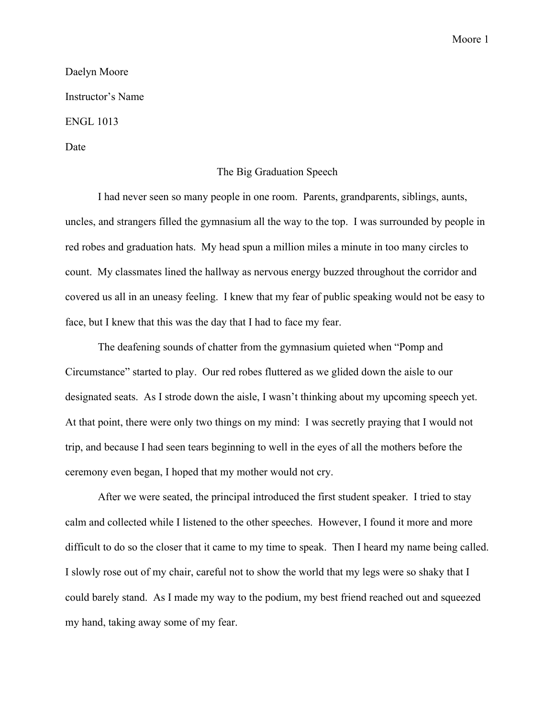## Moore 1

## Daelyn Moore Instructor's Name ENGL 1013 Date

## The Big Graduation Speech

I had never seen so many people in one room. Parents, grandparents, siblings, aunts, uncles, and strangers filled the gymnasium all the way to the top. I was surrounded by people in red robes and graduation hats. My head spun a million miles a minute in too many circles to count. My classmates lined the hallway as nervous energy buzzed throughout the corridor and covered us all in an uneasy feeling. I knew that my fear of public speaking would not be easy to face, but I knew that this was the day that I had to face my fear.

The deafening sounds of chatter from the gymnasium quieted when "Pomp and Circumstance" started to play. Our red robes fluttered as we glided down the aisle to our designated seats. As I strode down the aisle, I wasn't thinking about my upcoming speech yet. At that point, there were only two things on my mind: I was secretly praying that I would not trip, and because I had seen tears beginning to well in the eyes of all the mothers before the ceremony even began, I hoped that my mother would not cry.

After we were seated, the principal introduced the first student speaker. I tried to stay calm and collected while I listened to the other speeches. However, I found it more and more difficult to do so the closer that it came to my time to speak. Then I heard my name being called. I slowly rose out of my chair, careful not to show the world that my legs were so shaky that I could barely stand. As I made my way to the podium, my best friend reached out and squeezed my hand, taking away some of my fear.